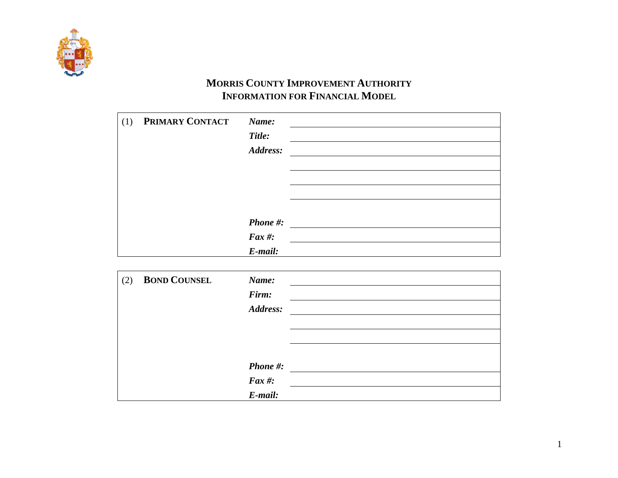

## **MORRIS COUNTY IMPROVEMENT AUTHORITY INFORMATION FOR FINANCIAL MODEL**

| (1) | PRIMARY CONTACT | Name:<br>Title:<br>Address:   |  |
|-----|-----------------|-------------------------------|--|
|     |                 | Phone #:<br>Fax #:<br>E-mail: |  |

| (2) | <b>BOND COUNSEL</b> | Name:         |  |
|-----|---------------------|---------------|--|
|     |                     | Firm:         |  |
|     |                     | Address:      |  |
|     |                     |               |  |
|     |                     |               |  |
|     |                     |               |  |
|     |                     | Phone #:      |  |
|     |                     | $\int$ Fax #: |  |
|     |                     | E-mail:       |  |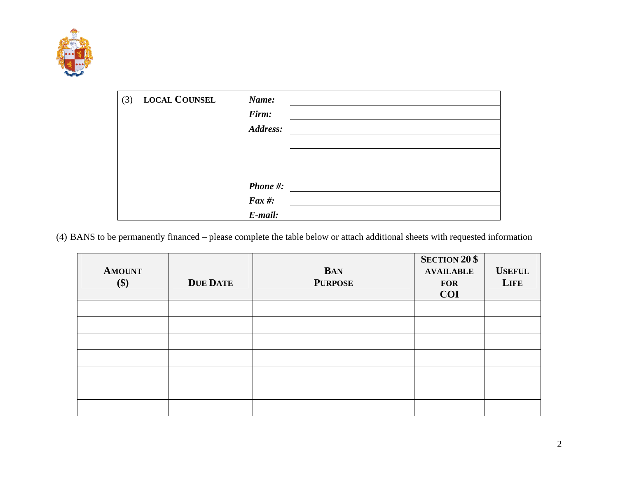

| (3) | <b>LOCAL COUNSEL</b> | Name:         |  |
|-----|----------------------|---------------|--|
|     |                      | Firm:         |  |
|     |                      | Address:      |  |
|     |                      |               |  |
|     |                      |               |  |
|     |                      |               |  |
|     |                      | Phone #:      |  |
|     |                      | $\int$ Fax #: |  |
|     |                      | E-mail:       |  |

(4) BANS to be permanently financed – please complete the table below or attach additional sheets with requested information

| <b>AMOUNT</b><br>\$) | <b>DUE DATE</b> | <b>BAN</b><br><b>PURPOSE</b> | <b>SECTION 20 \$</b><br><b>AVAILABLE</b><br><b>FOR</b><br><b>COI</b> | <b>USEFUL</b><br><b>LIFE</b> |
|----------------------|-----------------|------------------------------|----------------------------------------------------------------------|------------------------------|
|                      |                 |                              |                                                                      |                              |
|                      |                 |                              |                                                                      |                              |
|                      |                 |                              |                                                                      |                              |
|                      |                 |                              |                                                                      |                              |
|                      |                 |                              |                                                                      |                              |
|                      |                 |                              |                                                                      |                              |
|                      |                 |                              |                                                                      |                              |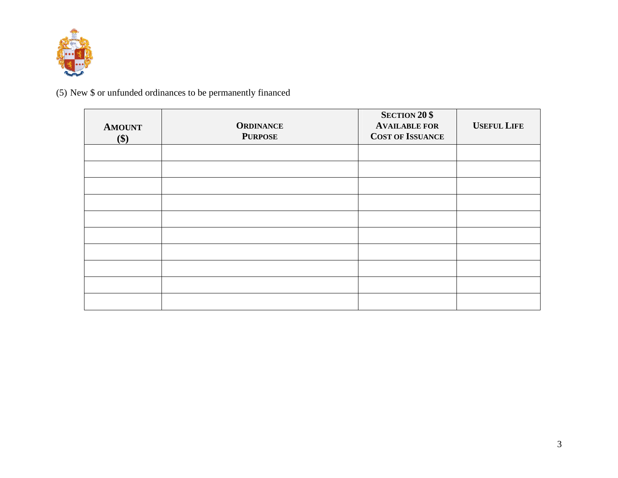

(5) New \$ or unfunded ordinances to be permanently financed

| <b>AMOUNT</b><br>\$) | <b>ORDINANCE</b><br><b>PURPOSE</b> | <b>SECTION 20 \$</b><br><b>AVAILABLE FOR</b><br><b>COST OF ISSUANCE</b> | <b>USEFUL LIFE</b> |
|----------------------|------------------------------------|-------------------------------------------------------------------------|--------------------|
|                      |                                    |                                                                         |                    |
|                      |                                    |                                                                         |                    |
|                      |                                    |                                                                         |                    |
|                      |                                    |                                                                         |                    |
|                      |                                    |                                                                         |                    |
|                      |                                    |                                                                         |                    |
|                      |                                    |                                                                         |                    |
|                      |                                    |                                                                         |                    |
|                      |                                    |                                                                         |                    |
|                      |                                    |                                                                         |                    |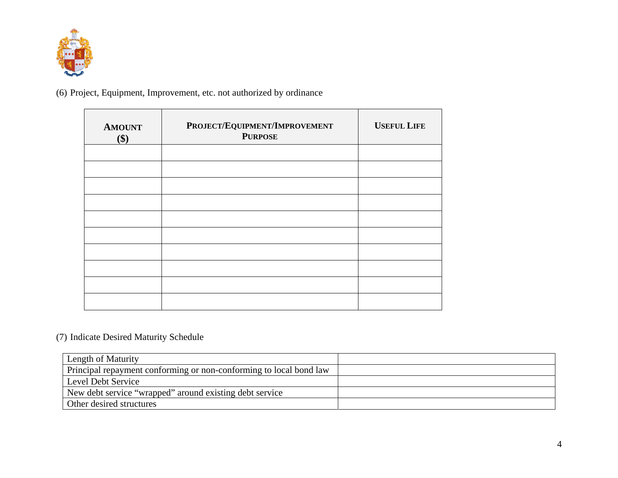

(6) Project, Equipment, Improvement, etc. not authorized by ordinance

| <b>AMOUNT</b><br>\$) | PROJECT/EQUIPMENT/IMPROVEMENT<br><b>PURPOSE</b> | <b>USEFUL LIFE</b> |
|----------------------|-------------------------------------------------|--------------------|
|                      |                                                 |                    |
|                      |                                                 |                    |
|                      |                                                 |                    |
|                      |                                                 |                    |
|                      |                                                 |                    |
|                      |                                                 |                    |
|                      |                                                 |                    |
|                      |                                                 |                    |
|                      |                                                 |                    |
|                      |                                                 |                    |

## (7) Indicate Desired Maturity Schedule

| Length of Maturity                                                 |  |
|--------------------------------------------------------------------|--|
| Principal repayment conforming or non-conforming to local bond law |  |
| Level Debt Service                                                 |  |
| New debt service "wrapped" around existing debt service            |  |
| Other desired structures                                           |  |